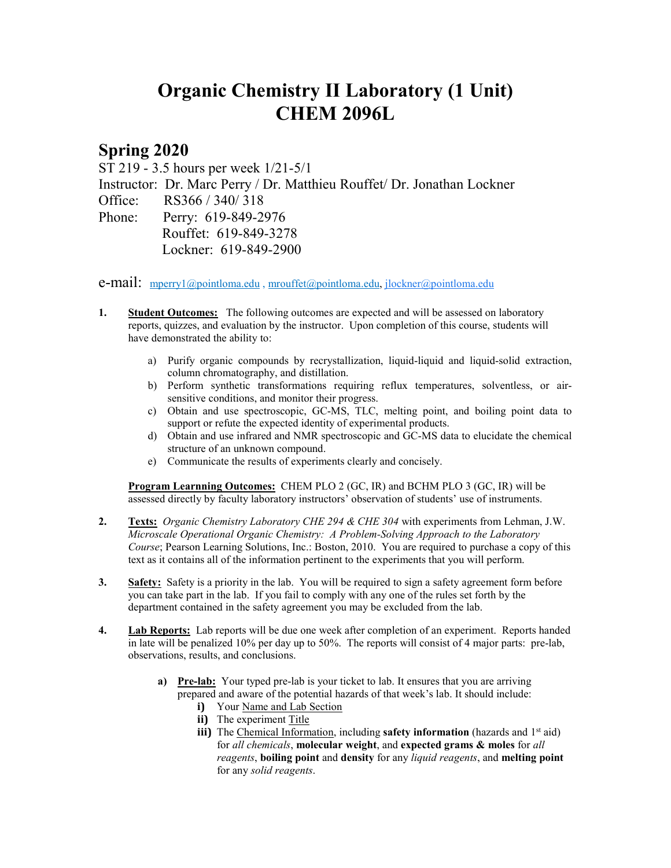## **Organic Chemistry II Laboratory (1 Unit) CHEM 2096L**

## **Spring 2020**

ST 219 - 3.5 hours per week 1/21-5/1

Instructor: Dr. Marc Perry / Dr. Matthieu Rouffet/ Dr. Jonathan Lockner

Office: RS366 / 340/ 318

Phone: Perry: 619-849-2976 Rouffet: 619-849-3278 Lockner: 619-849-2900

**e-mail:** [mperry1@pointloma.edu](mailto:mperry1@pointloma.edu)[, mrouffet@pointloma.edu,](mailto:mrouffet@pointloma.edu) [jlockner@pointloma.edu](mailto:jlockner@pointloma.edu)

- **1. Student Outcomes:** The following outcomes are expected and will be assessed on laboratory reports, quizzes, and evaluation by the instructor. Upon completion of this course, students will have demonstrated the ability to:
	- a) Purify organic compounds by recrystallization, liquid-liquid and liquid-solid extraction, column chromatography, and distillation.
	- b) Perform synthetic transformations requiring reflux temperatures, solventless, or airsensitive conditions, and monitor their progress.
	- c) Obtain and use spectroscopic, GC-MS, TLC, melting point, and boiling point data to support or refute the expected identity of experimental products.
	- d) Obtain and use infrared and NMR spectroscopic and GC-MS data to elucidate the chemical structure of an unknown compound.
	- e) Communicate the results of experiments clearly and concisely.

**Program Learnning Outcomes:** CHEM PLO 2 (GC, IR) and BCHM PLO 3 (GC, IR) will be assessed directly by faculty laboratory instructors' observation of students' use of instruments.

- **2. Texts:** *Organic Chemistry Laboratory CHE 294 & CHE 304* with experiments from Lehman, J.W. *Microscale Operational Organic Chemistry: A Problem-Solving Approach to the Laboratory Course*; Pearson Learning Solutions, Inc.: Boston, 2010. You are required to purchase a copy of this text as it contains all of the information pertinent to the experiments that you will perform.
- **3. Safety:** Safety is a priority in the lab. You will be required to sign a safety agreement form before you can take part in the lab. If you fail to comply with any one of the rules set forth by the department contained in the safety agreement you may be excluded from the lab.
- **4. Lab Reports:** Lab reports will be due one week after completion of an experiment. Reports handed in late will be penalized 10% per day up to 50%. The reports will consist of 4 major parts: pre-lab, observations, results, and conclusions.
	- **a) Pre-lab:** Your typed pre-lab is your ticket to lab. It ensures that you are arriving prepared and aware of the potential hazards of that week's lab. It should include:
		- **i)** Your Name and Lab Section
		- **ii)** The experiment Title
		- **iii)** The Chemical Information, including **safety information** (hazards and 1<sup>st</sup> aid) for *all chemicals*, **molecular weight**, and **expected grams & moles** for *all reagents*, **boiling point** and **density** for any *liquid reagents*, and **melting point** for any *solid reagents*.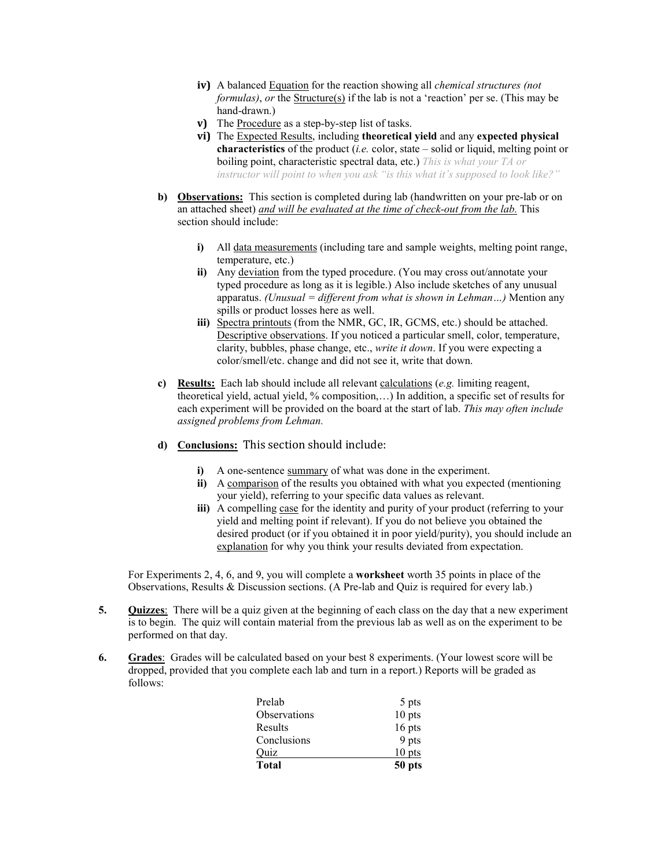- **iv)** A balanced Equation for the reaction showing all *chemical structures (not formulas), or* the Structure(s) if the lab is not a 'reaction' per se. (This may be hand-drawn.)
- **v)** The Procedure as a step-by-step list of tasks.
- **vi)** The Expected Results, including **theoretical yield** and any **expected physical characteristics** of the product (*i.e.* color, state – solid or liquid, melting point or boiling point, characteristic spectral data, etc.) *This is what your TA or instructor will point to when you ask "is this what it's supposed to look like?"*
- **b) Observations:** This section is completed during lab (handwritten on your pre-lab or on an attached sheet) *and will be evaluated at the time of check-out from the lab.* This section should include:
	- **i)** All data measurements (including tare and sample weights, melting point range, temperature, etc.)
	- **ii)** Any deviation from the typed procedure. (You may cross out/annotate your typed procedure as long as it is legible.) Also include sketches of any unusual apparatus. *(Unusual = different from what is shown in Lehman…)* Mention any spills or product losses here as well.
	- **iii)** Spectra printouts (from the NMR, GC, IR, GCMS, etc.) should be attached. Descriptive observations. If you noticed a particular smell, color, temperature, clarity, bubbles, phase change, etc., *write it down*. If you were expecting a color/smell/etc. change and did not see it, write that down.
- **c) Results:** Each lab should include all relevant calculations (*e.g.* limiting reagent, theoretical yield, actual yield, % composition,…) In addition, a specific set of results for each experiment will be provided on the board at the start of lab. *This may often include assigned problems from Lehman.*
- **d) Conclusions:** This section should include:
	- **i**) A one-sentence summary of what was done in the experiment.
	- **ii)** A comparison of the results you obtained with what you expected (mentioning your yield), referring to your specific data values as relevant.
	- **iii)** A compelling case for the identity and purity of your product (referring to your yield and melting point if relevant). If you do not believe you obtained the desired product (or if you obtained it in poor yield/purity), you should include an explanation for why you think your results deviated from expectation.

For Experiments 2, 4, 6, and 9, you will complete a **worksheet** worth 35 points in place of the Observations, Results & Discussion sections. (A Pre-lab and Quiz is required for every lab.)

- **5. Quizzes**: There will be a quiz given at the beginning of each class on the day that a new experiment is to begin. The quiz will contain material from the previous lab as well as on the experiment to be performed on that day.
- **6. Grades**:Grades will be calculated based on your best 8 experiments. (Your lowest score will be dropped, provided that you complete each lab and turn in a report.) Reports will be graded as follows:

| <b>Total</b> | 50 pts   |
|--------------|----------|
| Ouiz         | $10$ pts |
| Conclusions  | 9 pts    |
| Results      | 16 pts   |
| Observations | $10$ pts |
| Prelab       | 5 pts    |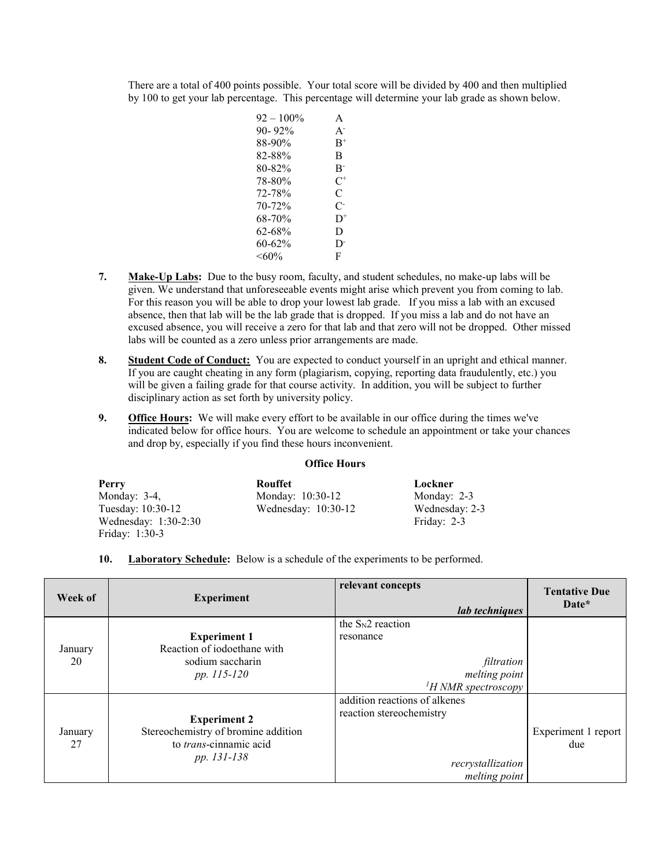There are a total of 400 points possible. Your total score will be divided by 400 and then multiplied by 100 to get your lab percentage. This percentage will determine your lab grade as shown below.

| $92 - 100\%$ | A              |
|--------------|----------------|
| $90 - 92\%$  | $A^-$          |
| 88-90%       | $\rm{B^+}$     |
| 82-88%       | R              |
| 80-82%       | $B^-$          |
| 78-80%       | $C^+$          |
| 72-78%       | C              |
| 70-72%       | C-             |
| 68-70%       | D <sup>+</sup> |
| 62-68%       | D              |
| 60-62%       | D.             |
| $<60\%$      | F              |

- **7. Make-Up Labs:** Due to the busy room, faculty, and student schedules, no make-up labs will be given. We understand that unforeseeable events might arise which prevent you from coming to lab. For this reason you will be able to drop your lowest lab grade. If you miss a lab with an excused absence, then that lab will be the lab grade that is dropped. If you miss a lab and do not have an excused absence, you will receive a zero for that lab and that zero will not be dropped. Other missed labs will be counted as a zero unless prior arrangements are made.
- **8. Student Code of Conduct:** You are expected to conduct yourself in an upright and ethical manner. If you are caught cheating in any form (plagiarism, copying, reporting data fraudulently, etc.) you will be given a failing grade for that course activity. In addition, you will be subject to further disciplinary action as set forth by university policy.
- **9. Office Hours:** We will make every effort to be available in our office during the times we've indicated below for office hours. You are welcome to schedule an appointment or take your chances and drop by, especially if you find these hours inconvenient.

## **Office Hours**

| Perry                | Rouffet               | Lockner        |
|----------------------|-----------------------|----------------|
| Monday: $3-4$ ,      | Monday: 10:30-12      | Monday: $2-3$  |
| Tuesday: 10:30-12    | Wednesday: $10:30-12$ | Wednesday: 2-3 |
| Wednesday: 1:30-2:30 |                       | Friday: 2-3    |
| Friday: 1:30-3       |                       |                |

## **10. Laboratory Schedule:** Below is a schedule of the experiments to be performed.

| Week of       | <b>Experiment</b>                                                                                   | relevant concepts<br>lab techniques                                                             | <b>Tentative Due</b><br>Date* |
|---------------|-----------------------------------------------------------------------------------------------------|-------------------------------------------------------------------------------------------------|-------------------------------|
| January<br>20 | <b>Experiment 1</b><br>Reaction of iodoethane with<br>sodium saccharin<br>pp. 115-120               | the $S_N2$ reaction<br>resonance<br>filtration<br>melting point<br>$H NMR$ spectroscopy         |                               |
| January<br>27 | <b>Experiment 2</b><br>Stereochemistry of bromine addition<br>to trans-cinnamic acid<br>pp. 131-138 | addition reactions of alkenes<br>reaction stereochemistry<br>recrystallization<br>melting point | Experiment 1 report<br>due    |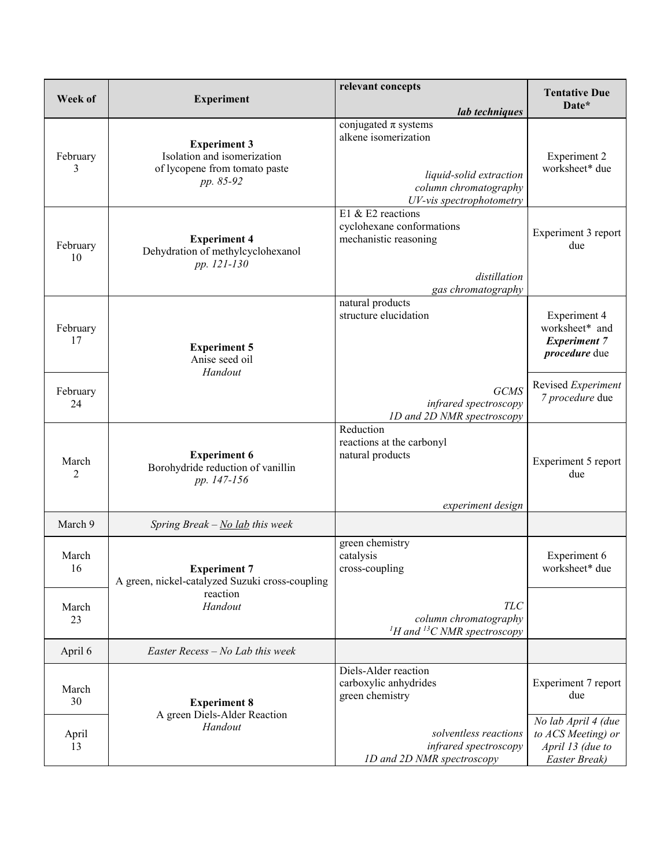| Week of                 | <b>Experiment</b>                                                                                | relevant concepts<br>lab techniques                                                                                              | <b>Tentative Due</b><br>Date*                                                        |
|-------------------------|--------------------------------------------------------------------------------------------------|----------------------------------------------------------------------------------------------------------------------------------|--------------------------------------------------------------------------------------|
| February<br>3           | <b>Experiment 3</b><br>Isolation and isomerization<br>of lycopene from tomato paste<br>pp. 85-92 | conjugated $\pi$ systems<br>alkene isomerization<br>liquid-solid extraction<br>column chromatography<br>UV-vis spectrophotometry | <b>Experiment 2</b><br>worksheet* due                                                |
| February<br>10          | <b>Experiment 4</b><br>Dehydration of methylcyclohexanol<br>pp. 121-130                          | E1 & E2 reactions<br>cyclohexane conformations<br>mechanistic reasoning<br>distillation<br>gas chromatography                    | Experiment 3 report<br>due                                                           |
| February<br>17          | <b>Experiment 5</b><br>Anise seed oil<br>Handout                                                 | natural products<br>structure elucidation                                                                                        | <b>Experiment 4</b><br>worksheet* and<br><b>Experiment 7</b><br><i>procedure</i> due |
| February<br>24          |                                                                                                  | <b>GCMS</b><br>infrared spectroscopy<br>1D and 2D NMR spectroscopy                                                               | Revised Experiment<br>7 procedure due                                                |
| March<br>$\overline{2}$ | <b>Experiment 6</b><br>Borohydride reduction of vanillin<br>pp. 147-156                          | Reduction<br>reactions at the carbonyl<br>natural products<br>experiment design                                                  | Experiment 5 report<br>due                                                           |
| March 9                 | Spring Break $-\underline{No}$ lab this week                                                     |                                                                                                                                  |                                                                                      |
| March<br>16             | <b>Experiment 7</b><br>A green, nickel-catalyzed Suzuki cross-coupling                           | green chemistry<br>catalysis<br>cross-coupling                                                                                   | Experiment 6<br>worksheet* due                                                       |
| March<br>23             | reaction<br>Handout                                                                              | <b>TLC</b><br>column chromatography<br><sup>1</sup> H and <sup>13</sup> C NMR spectroscopy                                       |                                                                                      |
| April 6                 | Easter Recess $-$ No Lab this week                                                               |                                                                                                                                  |                                                                                      |
| March<br>30             | <b>Experiment 8</b>                                                                              | Diels-Alder reaction<br>carboxylic anhydrides<br>green chemistry                                                                 | Experiment 7 report<br>due                                                           |
| April<br>13             | A green Diels-Alder Reaction<br>Handout                                                          | solventless reactions<br>infrared spectroscopy<br>1D and 2D NMR spectroscopy                                                     | No lab April 4 (due<br>to ACS Meeting) or<br>April 13 (due to<br>Easter Break)       |